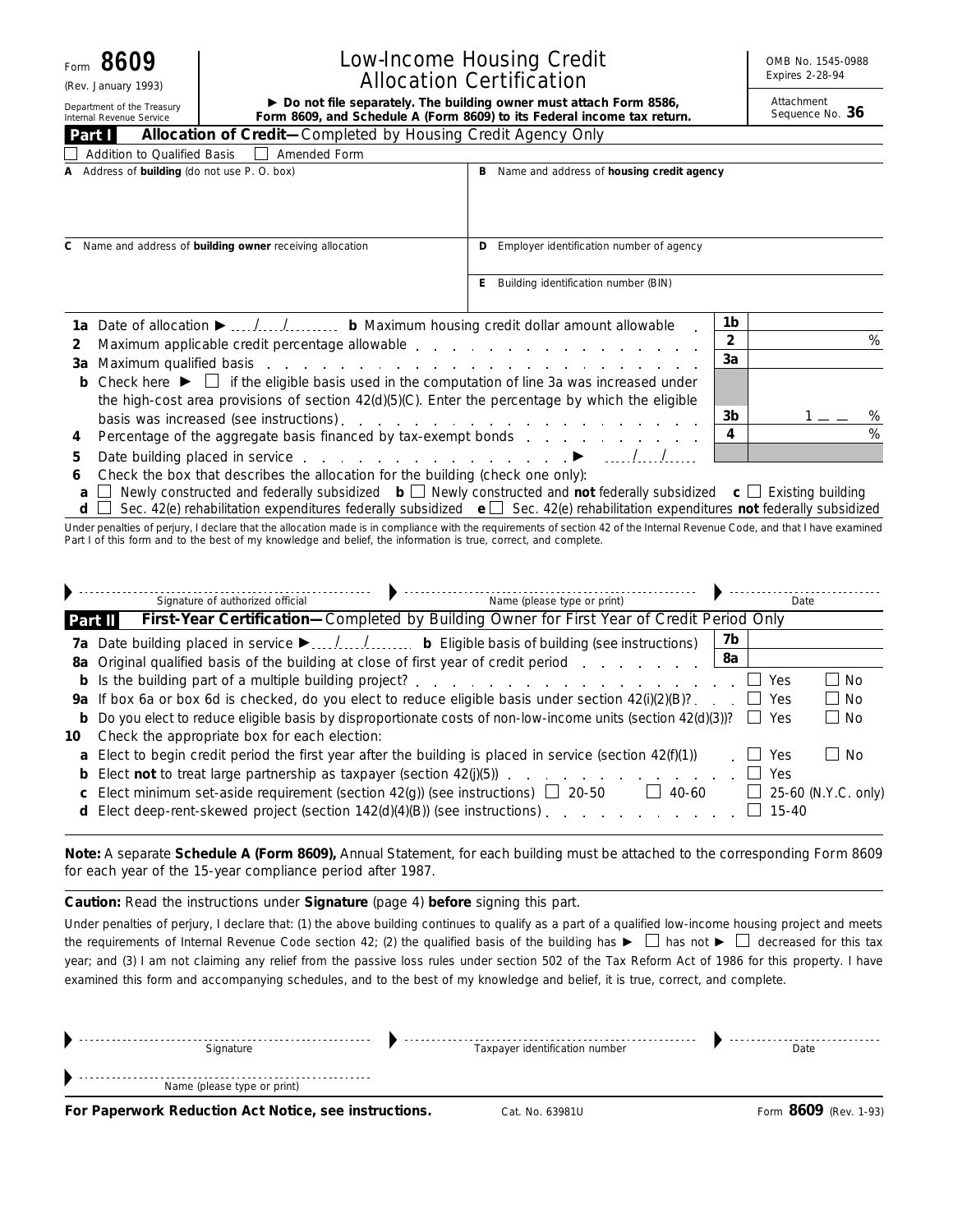$Form$ 

(Rev. January 1993)

# Internal Revenue Service

# Low-Income Housing Credit Allocation Certification

OMB No. 1545-0988 Expires 2-28-94

Department of the Treasury **Form 8609, and Schedule A (Form 8609) to its Federal income tax return.** Department the Treasury **Form 8609, and Schedule A (Form 8609) to its Federal income tax return.** Sequence No. 36

Attachment<br>Sequence No. 36

| <b>Allocation of Credit-Completed by Housing Credit Agency Only</b><br>Part I                                                                                                                                                                                                                                                                                                                                                                  |                                                                                             |      |
|------------------------------------------------------------------------------------------------------------------------------------------------------------------------------------------------------------------------------------------------------------------------------------------------------------------------------------------------------------------------------------------------------------------------------------------------|---------------------------------------------------------------------------------------------|------|
| Addition to Qualified Basis    <br>Amended Form                                                                                                                                                                                                                                                                                                                                                                                                |                                                                                             |      |
| A Address of building (do not use P.O. box)                                                                                                                                                                                                                                                                                                                                                                                                    | Name and address of housing credit agency<br>в                                              |      |
| C Name and address of building owner receiving allocation                                                                                                                                                                                                                                                                                                                                                                                      | Employer identification number of agency<br>D<br>Building identification number (BIN)<br>E. |      |
| 1a Date of allocation ▶ // b Maximum housing credit dollar amount allowable<br>Maximum applicable credit percentage allowable expansion and allow a set of the state of the maximum applicable redit percentage allowable expansion and the material of the material of the material of the material of the m<br><b>b</b> Check here $\blacktriangleright$ $\Box$ if the eligible basis used in the computation of line 3a was increased under | 1b<br>2<br>3a                                                                               | $\%$ |

| the high-cost area provisions of section 42(d)(5)(C). Enter the percentage by which the eligible                                                                                                                               |                |   |
|--------------------------------------------------------------------------------------------------------------------------------------------------------------------------------------------------------------------------------|----------------|---|
| basis was increased (see instructions). The contract of the contract of the contract of the contract of the contract of the contract of the contract of the contract of the contract of the contract of the contract of the co | 3 <sub>b</sub> | ℅ |
|                                                                                                                                                                                                                                |                | % |
|                                                                                                                                                                                                                                |                |   |

**6** Check the box that describes the allocation for the building (check one only):

**a**  $\Box$  Newly constructed and federally subsidized **b**  $\Box$  Newly constructed and **not** federally subsidized **c**  $\Box$  Existing building

**d** □ Sec. 42(e) rehabilitation expenditures federally subsidized **e** □ Sec. 42(e) rehabilitation expenditures **not** federally subsidized

Under penalties of perjury, I declare that the allocation made is in compliance with the requirements of section 42 of the Internal Revenue Code, and that I have examined Part I of this form and to the best of my knowledge and belief, the information is true, correct, and complete.

|         | Name (please type or print)<br>Signature of authorized official                                                       |                 | Date                |                     |
|---------|-----------------------------------------------------------------------------------------------------------------------|-----------------|---------------------|---------------------|
| Part II | First-Year Certification-Completed by Building Owner for First Year of Credit Period Only                             |                 |                     |                     |
|         |                                                                                                                       | 7b              |                     |                     |
|         | 8a Original qualified basis of the building at close of first year of credit period                                   | 8a              |                     |                     |
|         | <b>b</b> Is the building part of a multiple building project?                                                         |                 | Yes                 | l I No              |
|         | <b>9a</b> If box 6a or box 6d is checked, do you elect to reduce eligible basis under section $42\frac{1}{2}$ (e)(B)? | <b>Contract</b> | Yes                 | l I No              |
|         | <b>b</b> Do you elect to reduce eligible basis by disproportionate costs of non-low-income units (section 42(d)(3))?  |                 | Yes<br>$\mathbf{I}$ | l I No              |
| 10      | Check the appropriate box for each election:                                                                          |                 |                     |                     |
|         | <b>a</b> Elect to begin credit period the first year after the building is placed in service (section $42(f)(1)$ )    |                 | Yes                 | l I No              |
|         | <b>b</b> Elect <b>not</b> to treat large partnership as taxpayer (section $42(j)(5)$ )                                |                 | Yes                 |                     |
|         | <b>c</b> Elect minimum set-aside requirement (section 42(g)) (see instructions) $\Box$ 20-50<br>40-60                 |                 |                     | 25-60 (N.Y.C. only) |
|         | d Elect deep-rent-skewed project (section 142(d)(4)(B)) (see instructions).                                           |                 | $15 - 40$           |                     |

**Note:** *A separate Schedule A (Form 8609), Annual Statement, for each building must be attached to the corresponding Form 8609 for each year of the 15-year compliance period after 1987.*

**Caution:** *Read the instructions under* **Signature** *(page 4) before signing this part.*

Under penalties of perjury, I declare that: (1) the above building continues to qualify as a part of a qualified low-income housing project and meets the requirements of Internal Revenue Code section 42; (2) the qualified basis of the building has  $\blacktriangleright \Box$  has not  $\blacktriangleright \Box$  decreased for this tax year; and (3) I am not claiming any relief from the passive loss rules under section 502 of the Tax Reform Act of 1986 for this property. I have examined this form and accompanying schedules, and to the best of my knowledge and belief, it is true, correct, and complete.

| $\sim$ . The contract of the contract of the contract of the contract of the contract of the contract of the contract of the contract of the contract of the contract of the contract of the contract of the contract of the co |                                | ---- |
|---------------------------------------------------------------------------------------------------------------------------------------------------------------------------------------------------------------------------------|--------------------------------|------|
| Name (please type or print)                                                                                                                                                                                                     |                                |      |
|                                                                                                                                                                                                                                 |                                |      |
| Signature                                                                                                                                                                                                                       | Taxpayer identification number | Date |
|                                                                                                                                                                                                                                 |                                |      |

**For Paperwork Reduction Act Notice, see instructions.** Cat. No. 63981U Form 8609 (Rev. 1-93)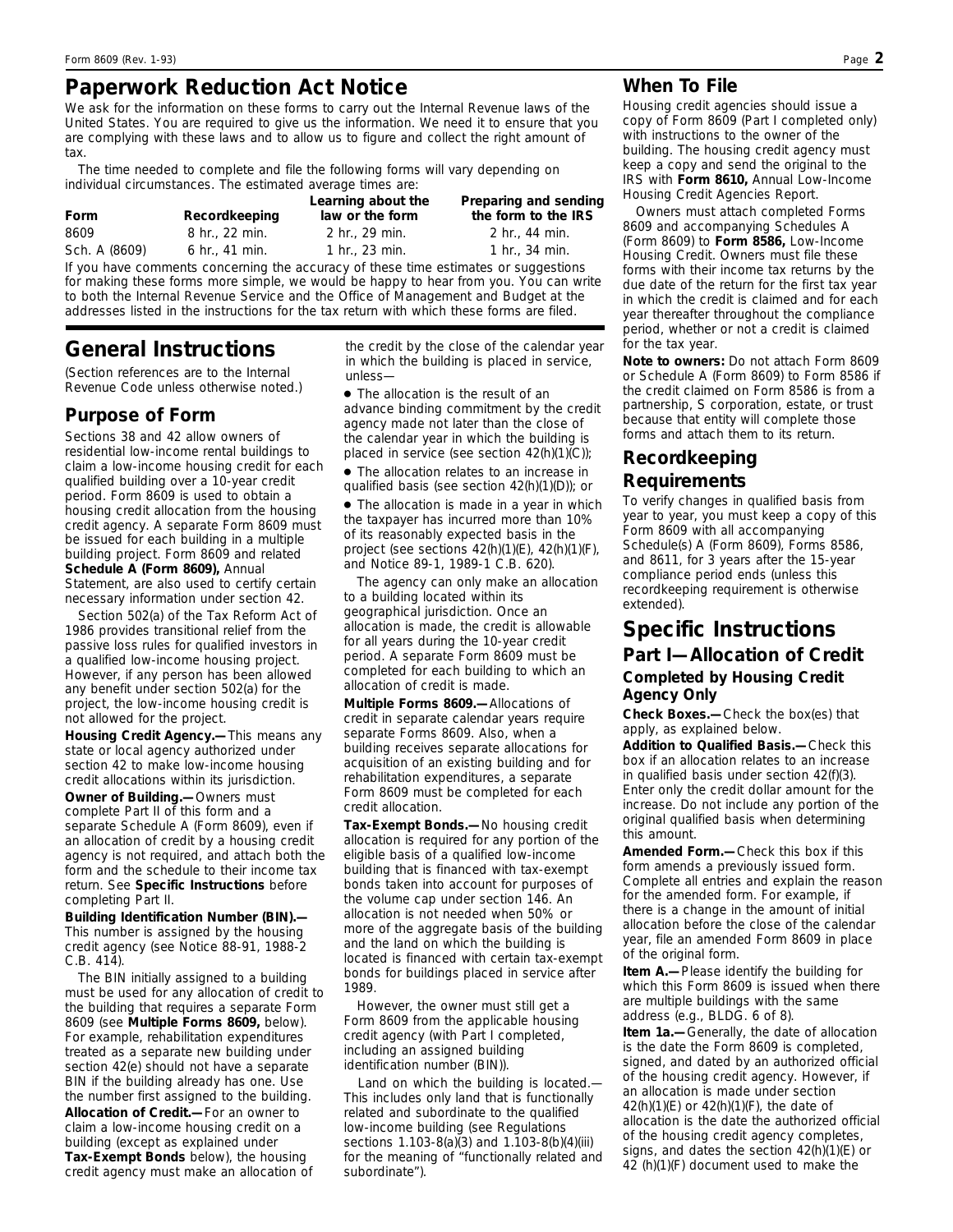# **Paperwork Reduction Act Notice**

We ask for the information on these forms to carry out the Internal Revenue laws of the United States. You are required to give us the information. We need it to ensure that you are complying with these laws and to allow us to figure and collect the right amount of tax.

The time needed to complete and file the following forms will vary depending on individual circumstances. The estimated average times are:

| Form          | Recordkeeping  | Learning about the<br>law or the form | Preparing and sending<br>the form to the IRS |
|---------------|----------------|---------------------------------------|----------------------------------------------|
| 8609          | 8 hr., 22 min. | 2 hr., 29 min.                        | 2 hr., 44 min.                               |
| Sch. A (8609) | 6 hr., 41 min. | 1 hr., $23$ min.                      | 1 hr., $34 \,$ min.                          |
|               |                |                                       |                                              |

If you have comments concerning the accuracy of these time estimates or suggestions for making these forms more simple, we would be happy to hear from you. You can write to both the Internal Revenue Service and the Office of Management and Budget at the addresses listed in the instructions for the tax return with which these forms are filed.

# **General Instructions**

*(Section references are to the Internal Revenue Code unless otherwise noted.)*

#### **Purpose of Form**

Sections 38 and 42 allow owners of residential low-income rental buildings to claim a low-income housing credit for each qualified building over a 10-year credit period. Form 8609 is used to obtain a housing credit allocation from the housing credit agency. A separate Form 8609 must be issued for each building in a multiple building project. Form 8609 and related **Schedule A (Form 8609),** Annual Statement, are also used to certify certain necessary information under section 42.

Section 502(a) of the Tax Reform Act of 1986 provides transitional relief from the passive loss rules for qualified investors in a qualified low-income housing project. However, if any person has been allowed any benefit under section 502(a) for the project, the low-income housing credit is not allowed for the project.

**Housing Credit Agency.—**This means any state or local agency authorized under section 42 to make low-income housing credit allocations within its jurisdiction.

**Owner of Building.—**Owners must complete Part II of this form and a separate Schedule A (Form 8609), even if an allocation of credit by a housing credit agency is not required, and attach both the form and the schedule to their income tax return. See **Specific Instructions** before completing Part II.

**Building Identification Number (BIN).—** This number is assigned by the housing credit agency (see Notice 88-91, 1988-2 C.B. 414).

The BIN initially assigned to a building must be used for any allocation of credit to the building that requires a separate Form 8609 (see **Multiple Forms 8609,** below). For example, rehabilitation expenditures treated as a separate new building under section 42(e) should not have a separate BIN if the building already has one. Use the number first assigned to the building.

**Allocation of Credit.—**For an owner to claim a low-income housing credit on a building (except as explained under **Tax-Exempt Bonds** below), the housing credit agency must make an allocation of

the credit by the close of the calendar year in which the building is placed in service, unless—

● The allocation is the result of an advance binding commitment by the credit agency made not later than the close of the calendar year in which the building is placed in service (see section  $42(h)(1)(C)$ ;

● The allocation relates to an increase in qualified basis (see section 42(h)(1)(D)); or

• The allocation is made in a year in which the taxpayer has incurred more than 10% of its reasonably expected basis in the project (see sections 42(h)(1)(E), 42(h)(1)(F), and Notice 89-1, 1989-1 C.B. 620).

The agency can only make an allocation to a building located within its geographical jurisdiction. Once an allocation is made, the credit is allowable for all years during the 10-year credit period. A separate Form 8609 must be completed for each building to which an allocation of credit is made.

**Multiple Forms 8609.—**Allocations of credit in separate calendar years require separate Forms 8609. Also, when a building receives separate allocations for acquisition of an existing building and for rehabilitation expenditures, a separate Form 8609 must be completed for each credit allocation.

**Tax-Exempt Bonds.—**No housing credit allocation is required for any portion of the eligible basis of a qualified low-income building that is financed with tax-exempt bonds taken into account for purposes of the volume cap under section 146. An allocation is not needed when 50% or more of the aggregate basis of the building and the land on which the building is located is financed with certain tax-exempt bonds for buildings placed in service after 1989.

However, the owner must still get a Form 8609 from the applicable housing credit agency (with Part I completed, including an assigned building identification number (BIN)).

*Land on which the building is located.*— This includes only land that is functionally related and subordinate to the qualified low-income building (see Regulations sections 1.103-8(a)(3) and 1.103-8(b)(4)(iii) for the meaning of "functionally related and subordinate").

### **When To File**

Housing credit agencies should issue a copy of Form 8609 (Part I completed only) with instructions to the owner of the building. The housing credit agency must keep a copy and send the original to the IRS with **Form 8610,** Annual Low-Income Housing Credit Agencies Report.

Owners must attach completed Forms 8609 and accompanying Schedules A (Form 8609) to **Form 8586,** Low-Income Housing Credit. Owners must file these forms with their income tax returns by the due date of the return for the first tax year in which the credit is claimed and for each year thereafter throughout the compliance period, whether or not a credit is claimed for the tax year.

**Note to owners:** *Do not attach Form 8609 or Schedule A (Form 8609) to Form 8586 if the credit claimed on Form 8586 is from a partnership, S corporation, estate, or trust because that entity will complete those forms and attach them to its return.*

## **Recordkeeping Requirements**

To verify changes in qualified basis from year to year, you must keep a copy of this Form 8609 with all accompanying Schedule(s) A (Form 8609), Forms 8586, and 8611, for 3 years after the 15-year compliance period ends (unless this recordkeeping requirement is otherwise extended).

# **Specific Instructions Part I—Allocation of Credit Completed by Housing Credit**

## **Agency Only**

**Check Boxes.—**Check the box(es) that apply, as explained below.

**Addition to Qualified Basis.—**Check this box if an allocation relates to an increase in qualified basis under section 42(f)(3). Enter only the credit dollar amount for the increase. Do not include any portion of the original qualified basis when determining this amount.

**Amended Form.—**Check this box if this form amends a previously issued form. Complete all entries and explain the reason for the amended form. For example, if there is a change in the amount of initial allocation before the close of the calendar year, file an amended Form 8609 in place of the original form.

**Item A.—**Please identify the building for which this Form 8609 is issued when there are multiple buildings with the same address (e.g., BLDG. 6 of 8).

**Item 1a.—**Generally, the date of allocation is the date the Form 8609 is completed, signed, and dated by an authorized official of the housing credit agency. However, if an allocation is made under section 42(h)(1)(E) or 42(h)(1)(F), the date of allocation is the date the authorized official of the housing credit agency completes, signs, and dates the section 42(h)(1)(E) or 42 (h)(1)(F) document used to make the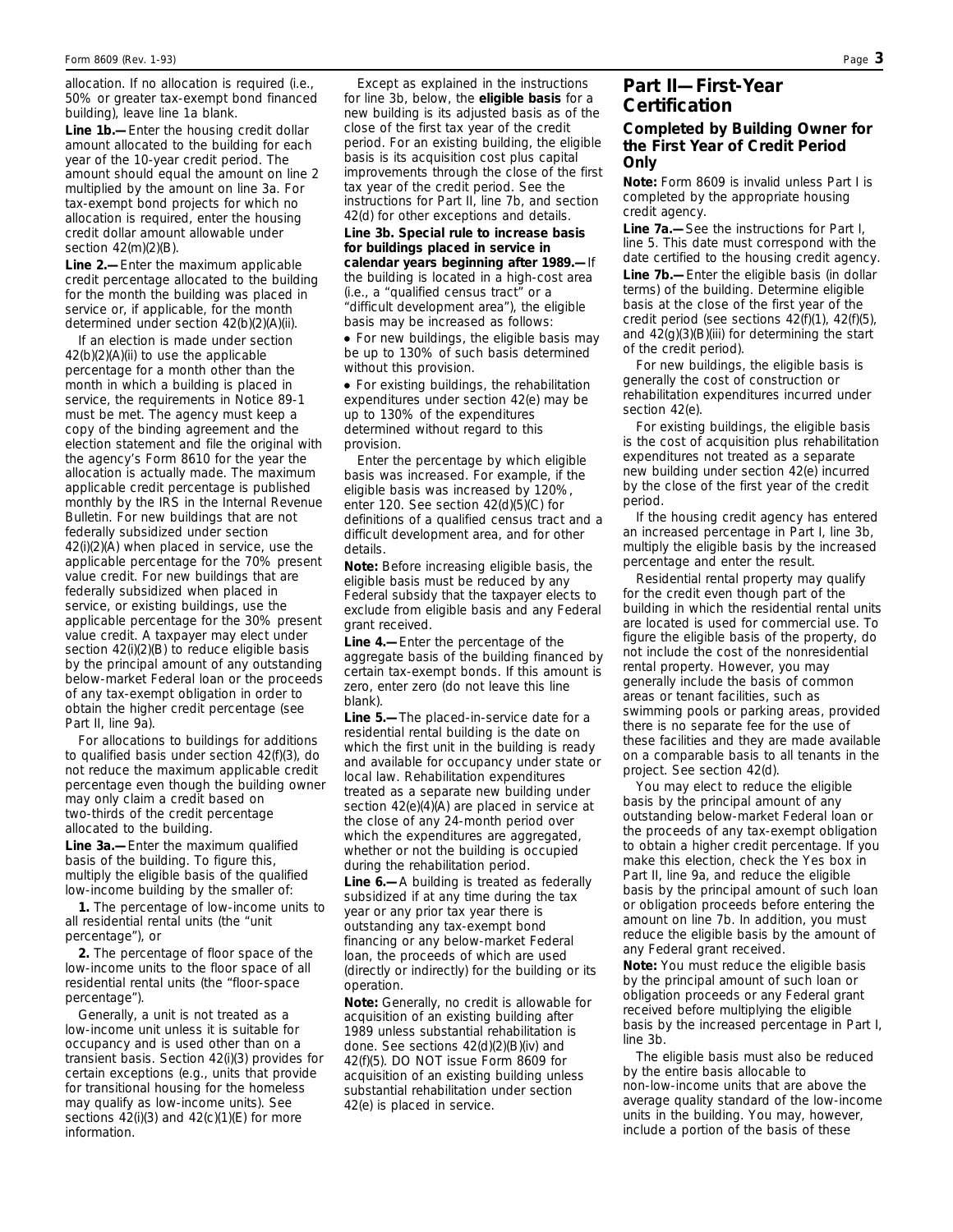allocation. If no allocation is required (i.e., 50% or greater tax-exempt bond financed building), leave line 1a blank.

**Line 1b.—**Enter the housing credit dollar amount allocated to the building for each year of the 10-year credit period. The amount should equal the amount on line 2 multiplied by the amount on line 3a. For tax-exempt bond projects for which no allocation is required, enter the housing credit dollar amount allowable under section 42(m)(2)(B).

**Line 2.—**Enter the maximum applicable credit percentage allocated to the building for the month the building was placed in service or, if applicable, for the month determined under section 42(b)(2)(A)(ii).

If an election is made under section 42(b)(2)(A)(ii) to use the applicable percentage for a month other than the month in which a building is placed in service, the requirements in Notice 89-1 must be met. The agency must keep a copy of the binding agreement and the election statement and file the original with the agency's Form 8610 for the year the allocation is actually made. The maximum applicable credit percentage is published monthly by the IRS in the Internal Revenue Bulletin. For new buildings that are not federally subsidized under section 42(i)(2)(A) when placed in service, use the applicable percentage for the 70% present value credit. For new buildings that are federally subsidized when placed in service, or existing buildings, use the applicable percentage for the 30% present value credit. A taxpayer may elect under section 42(i)(2)(B) to reduce eligible basis by the principal amount of any outstanding below-market Federal loan or the proceeds of any tax-exempt obligation in order to obtain the higher credit percentage (see Part II, line 9a).

For allocations to buildings for additions to qualified basis under section 42(f)(3), do not reduce the maximum applicable credit percentage even though the building owner may only claim a credit based on two-thirds of the credit percentage allocated to the building.

**Line 3a.—**Enter the maximum qualified basis of the building. To figure this, multiply the eligible basis of the qualified low-income building by the smaller of:

**1.** The percentage of low-income units to all residential rental units (the "unit percentage"), or

**2.** The percentage of floor space of the low-income units to the floor space of all residential rental units (the "floor-space percentage").

Generally, a unit is not treated as a low-income unit unless it is suitable for occupancy and is used other than on a transient basis. Section 42(i)(3) provides for certain exceptions (e.g., units that provide for transitional housing for the homeless may qualify as low-income units). See sections 42(i)(3) and 42(c)(1)(E) for more information.

Except as explained in the instructions for line 3b, below, the **eligible basis** for a new building is its adjusted basis as of the close of the first tax year of the credit period. For an existing building, the eligible basis is its acquisition cost plus capital improvements through the close of the first tax year of the credit period. See the instructions for Part II, line 7b, and section 42(d) for other exceptions and details.

**Line 3b. Special rule to increase basis for buildings placed in service in calendar years beginning after 1989.—**If the building is located in a high-cost area (i.e., a "qualified census tract" or a "difficult development area"), the eligible basis may be increased as follows:

• For new buildings, the eligible basis may be up to 130% of such basis determined without this provision.

● For existing buildings, the rehabilitation expenditures under section 42(e) may be up to 130% of the expenditures determined without regard to this provision.

Enter the percentage by which eligible basis was increased. For example, if the eligible basis was increased by 120%, enter 120. See section 42(d)(5)(C) for definitions of a qualified census tract and a difficult development area, and for other details.

**Note:** *Before increasing eligible basis, the eligible basis must be reduced by any Federal subsidy that the taxpayer elects to exclude from eligible basis and any Federal grant received.*

**Line 4.—**Enter the percentage of the aggregate basis of the building financed by certain tax-exempt bonds. If this amount is zero, enter zero (do not leave this line blank).

**Line 5.—**The placed-in-service date for a residential rental building is the date on which the first unit in the building is ready and available for occupancy under state or local law. Rehabilitation expenditures treated as a separate new building under section 42(e)(4)(A) are placed in service at the close of any 24-month period over which the expenditures are aggregated, whether or not the building is occupied during the rehabilitation period.

**Line 6.—**A building is treated as federally subsidized if at any time during the tax year or any prior tax year there is outstanding any tax-exempt bond financing or any below-market Federal loan, the proceeds of which are used (directly or indirectly) for the building or its operation.

**Note:** *Generally, no credit is allowable for acquisition of an existing building after 1989 unless substantial rehabilitation is done. See sections 42(d)(2)(B)(iv) and 42(f)(5). DO NOT issue Form 8609 for acquisition of an existing building unless substantial rehabilitation under section 42(e) is placed in service.*

#### **Part II—First-Year Certification**

#### **Completed by Building Owner for the First Year of Credit Period Only**

**Note:** *Form 8609 is invalid unless Part I is completed by the appropriate housing credit agency.*

**Line 7a.—**See the instructions for Part I, line 5. This date must correspond with the date certified to the housing credit agency. **Line 7b.—**Enter the eligible basis (in dollar terms) of the building. Determine eligible basis at the close of the first year of the credit period (see sections 42(f)(1), 42(f)(5), and 42(g)(3)(B)(iii) for determining the start of the credit period).

For new buildings, the eligible basis is generally the cost of construction or rehabilitation expenditures incurred under section 42(e).

For existing buildings, the eligible basis is the cost of acquisition plus rehabilitation expenditures not treated as a separate new building under section 42(e) incurred by the close of the first year of the credit period.

If the housing credit agency has entered an increased percentage in Part I, line 3b, multiply the eligible basis by the increased percentage and enter the result.

Residential rental property may qualify for the credit even though part of the building in which the residential rental units are located is used for commercial use. To figure the eligible basis of the property, do not include the cost of the nonresidential rental property. However, you may generally include the basis of common areas or tenant facilities, such as swimming pools or parking areas, provided there is no separate fee for the use of these facilities and they are made available on a comparable basis to all tenants in the project. See section 42(d).

You may elect to reduce the eligible basis by the principal amount of any outstanding below-market Federal loan or the proceeds of any tax-exempt obligation to obtain a higher credit percentage. If you make this election, check the Yes box in Part II, line 9a, and reduce the eligible basis by the principal amount of such loan or obligation proceeds before entering the amount on line 7b. In addition, you must reduce the eligible basis by the amount of any Federal grant received.

**Note:** *You must reduce the eligible basis by the principal amount of such loan or obligation proceeds or any Federal grant received before multiplying the eligible basis by the increased percentage in Part I, line 3b.*

The eligible basis must also be reduced by the entire basis allocable to non-low-income units that are above the average quality standard of the low-income units in the building. You may, however, include a portion of the basis of these